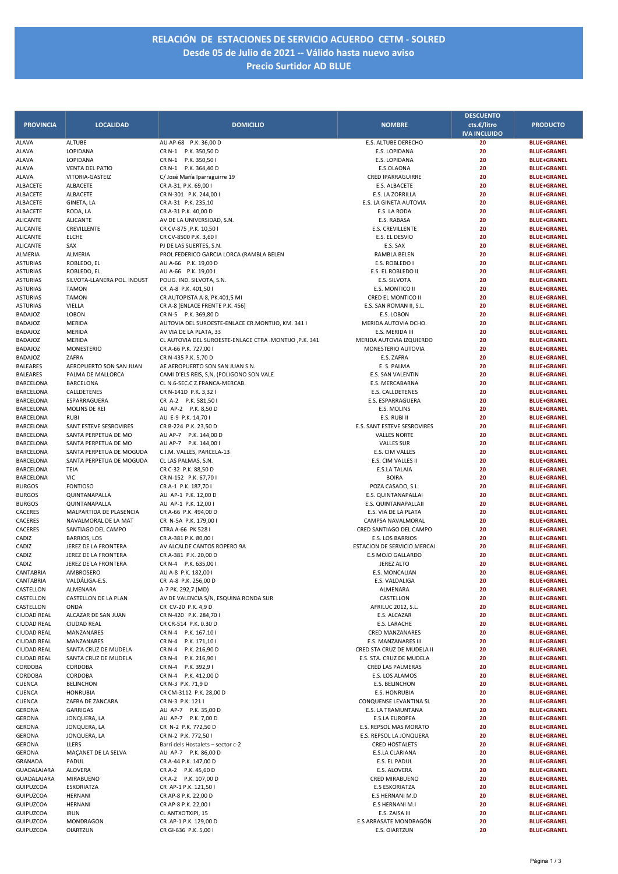## **RELACIÓN DE ESTACIONES DE SERVICIO ACUERDO CETM ‐ SOLRED Desde 05 de Julio de 2021 ‐‐ Válido hasta nuevo aviso Precio Surtidor AD BLUE**

|                                    |                                            |                                                             |                                              | <b>DESCUENTO</b>    |                                          |
|------------------------------------|--------------------------------------------|-------------------------------------------------------------|----------------------------------------------|---------------------|------------------------------------------|
| <b>PROVINCIA</b>                   | <b>LOCALIDAD</b>                           | <b>DOMICILIO</b>                                            | <b>NOMBRE</b>                                | cts.€/litro         | <b>PRODUCTO</b>                          |
|                                    |                                            |                                                             |                                              | <b>IVA INCLUIDO</b> |                                          |
| ALAVA                              | ALTUBE                                     | AU AP-68 P.K. 36,00 D                                       | E.S. ALTUBE DERECHO                          | 20                  | <b>BLUE+GRANEL</b>                       |
| <b>ALAVA</b>                       | LOPIDANA                                   | CR N-1 P.K. 350,50 D                                        | E.S. LOPIDANA                                | 20                  | <b>BLUE+GRANEL</b>                       |
| <b>ALAVA</b>                       | LOPIDANA                                   | CR N-1 P.K. 350,50 I                                        | E.S. LOPIDANA                                | 20                  | <b>BLUE+GRANEL</b>                       |
| ALAVA<br>ALAVA                     | <b>VENTA DEL PATIO</b><br>VITORIA-GASTEIZ  | CR N-1 P.K. 364,40 D<br>C/José María Iparraguirre 19        | E.S.OLAONA<br><b>CRED IPARRAGUIRRE</b>       | 20<br>20            | <b>BLUE+GRANEL</b><br><b>BLUE+GRANEL</b> |
| ALBACETE                           | ALBACETE                                   | CR A-31, P.K. 69,00 I                                       | E.S. ALBACETE                                | 20                  | <b>BLUE+GRANEL</b>                       |
| ALBACETE                           | ALBACETE                                   | CR N-301 P.K. 244,00 I                                      | E.S. LA ZORRILLA                             | 20                  | <b>BLUE+GRANEL</b>                       |
| ALBACETE                           | GINETA, LA                                 | CR A-31 P.K. 235,10                                         | E.S. LA GINETA AUTOVIA                       | 20                  | <b>BLUE+GRANEL</b>                       |
| ALBACETE                           | RODA, LA                                   | CR A-31 P.K. 40,00 D                                        | E.S. LA RODA                                 | 20                  | <b>BLUE+GRANEL</b>                       |
| <b>ALICANTE</b>                    | <b>ALICANTE</b>                            | AV DE LA UNIVERSIDAD, S.N.                                  | E.S. RABASA                                  | 20                  | <b>BLUE+GRANEL</b>                       |
| <b>ALICANTE</b>                    | CREVILLENTE                                | CR CV-875, P.K. 10,501                                      | <b>E.S. CREVILLENTE</b>                      | 20                  | <b>BLUE+GRANEL</b>                       |
| <b>ALICANTE</b>                    | <b>ELCHE</b>                               | CR CV-8500 P.K. 3,60 I                                      | E.S. EL DESVIO                               | 20                  | <b>BLUE+GRANEL</b>                       |
| <b>ALICANTE</b>                    | SAX                                        | PJ DE LAS SUERTES, S.N.                                     | E.S. SAX                                     | 20                  | <b>BLUE+GRANEL</b>                       |
| ALMERIA                            | ALMERIA                                    | PROL FEDERICO GARCIA LORCA (RAMBLA BELEN                    | RAMBLA BELEN                                 | 20                  | <b>BLUE+GRANEL</b>                       |
| <b>ASTURIAS</b>                    | ROBLEDO, EL                                | AU A-66 P.K. 19,00 D                                        | E.S. ROBLEDO I<br>E.S. EL ROBLEDO II         | 20<br>20            | <b>BLUE+GRANEL</b><br><b>BLUE+GRANEL</b> |
| <b>ASTURIAS</b><br><b>ASTURIAS</b> | ROBLEDO, EL<br>SILVOTA-LLANERA POL. INDUST | AU A-66 P.K. 19,00 I<br>POLIG. IND. SILVOTA, S.N.           | E.S. SILVOTA                                 | 20                  | <b>BLUE+GRANEL</b>                       |
| <b>ASTURIAS</b>                    | <b>TAMON</b>                               | CR A-8 P.K. 401,50 I                                        | E.S. MONTICO II                              | 20                  | <b>BLUE+GRANEL</b>                       |
| <b>ASTURIAS</b>                    | <b>TAMON</b>                               | CR AUTOPISTA A-8, PK.401,5 MI                               | CRED EL MONTICO II                           | 20                  | <b>BLUE+GRANEL</b>                       |
| <b>ASTURIAS</b>                    | VIELLA                                     | CR A-8 (ENLACE FRENTE P.K. 456)                             | E.S. SAN ROMAN II, S.L.                      | 20                  | <b>BLUE+GRANEL</b>                       |
| <b>BADAJOZ</b>                     | LOBON                                      | CR N-5 P.K. 369,80 D                                        | E.S. LOBON                                   | 20                  | <b>BLUE+GRANEL</b>                       |
| <b>BADAJOZ</b>                     | MERIDA                                     | AUTOVIA DEL SUROESTE-ENLACE CR.MONTIJO, KM. 341 I           | MERIDA AUTOVIA DCHO.                         | 20                  | <b>BLUE+GRANEL</b>                       |
| <b>BADAJOZ</b>                     | MERIDA                                     | AV VIA DE LA PLATA, 33                                      | E.S. MERIDA III                              | 20                  | <b>BLUE+GRANEL</b>                       |
| <b>BADAJOZ</b>                     | MERIDA                                     | CL AUTOVIA DEL SUROESTE-ENLACE CTRA .MONTIJO ,P.K. 341      | MERIDA AUTOVIA IZQUIERDO                     | 20                  | <b>BLUE+GRANEL</b>                       |
| <b>BADAJOZ</b>                     | <b>MONESTERIO</b>                          | CR A-66 P.K. 727,00 I                                       | MONESTERIO AUTOVIA                           | 20                  | <b>BLUE+GRANEL</b>                       |
| <b>BADAJOZ</b>                     | ZAFRA                                      | CR N-435 P.K. 5,70 D                                        | E.S. ZAFRA                                   | 20                  | <b>BLUE+GRANEL</b>                       |
| <b>BALEARES</b>                    | AEROPUERTO SON SAN JUAN                    | AE AEROPUERTO SON SAN JUAN S.N.                             | E. S. PALMA                                  | 20                  | <b>BLUE+GRANEL</b>                       |
| <b>BALEARES</b>                    | PALMA DE MALLORCA                          | CAMI D'ELS REIS, S,N, (POLIGONO SON VALE                    | E.S. SAN VALENTIN<br>E.S. MERCABARNA         | 20<br>20            | <b>BLUE+GRANEL</b><br><b>BLUE+GRANEL</b> |
| BARCELONA<br>BARCELONA             | BARCELONA<br>CALLDETENES                   | CL N.6-SEC.C Z.FRANCA-MERCAB.<br>CR N-141D P.K. 3,32 I      | E.S. CALLDETENES                             | 20                  | <b>BLUE+GRANEL</b>                       |
| <b>BARCELONA</b>                   | ESPARRAGUERA                               | CR A-2 P.K. 581,501                                         | E.S. ESPARRAGUERA                            | 20                  | <b>BLUE+GRANEL</b>                       |
| BARCELONA                          | MOLINS DE REI                              | AU AP-2 P.K. 8,50 D                                         | E.S. MOLINS                                  | 20                  | <b>BLUE+GRANEL</b>                       |
| BARCELONA                          | <b>RUBI</b>                                | AU E-9 P.K. 14,70 I                                         | E.S. RUBI II                                 | 20                  | <b>BLUE+GRANEL</b>                       |
| BARCELONA                          | SANT ESTEVE SESROVIRES                     | CR B-224 P.K. 23,50 D                                       | E.S. SANT ESTEVE SESROVIRES                  | 20                  | <b>BLUE+GRANEL</b>                       |
| BARCELONA                          | SANTA PERPETUA DE MO                       | AU AP-7 P.K. 144,00 D                                       | <b>VALLES NORTE</b>                          | 20                  | <b>BLUE+GRANEL</b>                       |
| BARCELONA                          | SANTA PERPETUA DE MO                       | AU AP-7 P.K. 144,001                                        | <b>VALLES SUR</b>                            | 20                  | <b>BLUE+GRANEL</b>                       |
| BARCELONA                          | SANTA PERPETUA DE MOGUDA                   | C.I.M. VALLES, PARCELA-13                                   | E.S. CIM VALLES                              | 20                  | <b>BLUE+GRANEL</b>                       |
| BARCELONA                          | SANTA PERPETUA DE MOGUDA                   | CL LAS PALMAS, S.N.                                         | E.S. CIM VALLES II                           | 20                  | <b>BLUE+GRANEL</b>                       |
| BARCELONA                          | TEIA                                       | CR C-32 P.K. 88,50 D                                        | E.S.LA TALAIA                                | 20                  | <b>BLUE+GRANEL</b>                       |
| BARCELONA                          | <b>VIC</b>                                 | CR N-152 P.K. 67,701                                        | <b>BOIRA</b>                                 | 20                  | <b>BLUE+GRANEL</b>                       |
| <b>BURGOS</b><br><b>BURGOS</b>     | <b>FONTIOSO</b><br>QUINTANAPALLA           | CR A-1 P.K. 187,701<br>AU AP-1 P.K. 12,00 D                 | POZA CASADO, S.L.<br>E.S. QUINTANAPALLAI     | 20<br>20            | <b>BLUE+GRANEL</b><br><b>BLUE+GRANEL</b> |
| <b>BURGOS</b>                      | QUINTANAPALLA                              | AU AP-1 P.K. 12,001                                         | E.S. QUINTANAPALLAII                         | 20                  | <b>BLUE+GRANEL</b>                       |
| CACERES                            | MALPARTIDA DE PLASENCIA                    | CR A-66 P.K. 494,00 D                                       | E.S. VIA DE LA PLATA                         | 20                  | <b>BLUE+GRANEL</b>                       |
| CACERES                            | NAVALMORAL DE LA MAT                       | CR N-5A P.K. 179,00 I                                       | CAMPSA NAVALMORAL                            | 20                  | <b>BLUE+GRANEL</b>                       |
| CACERES                            | SANTIAGO DEL CAMPO                         | CTRA A-66 PK 528 I                                          | CRED SANTIAGO DEL CAMPO                      | 20                  | <b>BLUE+GRANEL</b>                       |
| CADIZ                              | <b>BARRIOS, LOS</b>                        | CR A-381 P.K. 80,00 I                                       | E.S. LOS BARRIOS                             | 20                  | <b>BLUE+GRANEL</b>                       |
| CADIZ                              | JEREZ DE LA FRONTERA                       | AV ALCALDE CANTOS ROPERO 9A                                 | ESTACION DE SERVICIO MERCAJ                  | 20                  | <b>BLUE+GRANEL</b>                       |
| CADIZ                              | JEREZ DE LA FRONTERA                       | CR A-381 P.K. 20,00 D                                       | E.S MOJO GALLARDO                            | 20                  | <b>BLUE+GRANEL</b>                       |
| CADIZ                              | JEREZ DE LA FRONTERA                       | CR N-4 P.K. 635,00 I                                        | JEREZ ALTO                                   | 20                  | <b>BLUE+GRANEL</b>                       |
| CANTABRIA                          | AMBROSERO                                  | AU A-8 P.K. 182,00 I                                        | E.S. MONCALIAN                               | 20                  | <b>BLUE+GRANEL</b>                       |
| CANTABRIA                          | VALDÁLIGA-E.S.                             | CR A-8 P.K. 256,00 D                                        | E.S. VALDALIGA                               | 20                  | <b>BLUE+GRANEL</b>                       |
| CASTELLON                          | ALMENARA                                   | A-7 PK. 292,7 (MD)<br>AV DE VALENCIA S/N, ESQUINA RONDA SUR | ALMENARA                                     | 20                  | <b>BLUE+GRANEL</b>                       |
| CASTELLON<br>CASTELLON             | CASTELLON DE LA PLAN<br>ONDA               | CR CV-20 P.K. 4,9 D                                         | CASTELLON<br>AFRILUC 2012, S.L.              | 20<br>20            | <b>BLUE+GRANEL</b><br><b>BLUE+GRANEL</b> |
| <b>CIUDAD REAL</b>                 | ALCAZAR DE SAN JUAN                        | CR N-420 P.K. 284,701                                       | E.S. ALCAZAR                                 | 20                  | <b>BLUE+GRANEL</b>                       |
| <b>CIUDAD REAL</b>                 | <b>CIUDAD REAL</b>                         | CR CR-514 P.K. 0.30 D                                       | E.S. LARACHE                                 | 20                  | <b>BLUE+GRANEL</b>                       |
| <b>CIUDAD REAL</b>                 | MANZANARES                                 | CR N-4 P.K. 167.101                                         | <b>CRED MANZANARES</b>                       | 20                  | <b>BLUE+GRANEL</b>                       |
| <b>CIUDAD REAL</b>                 | MANZANARES                                 | CR N-4 P.K. 171,10 I                                        | E.S. MANZANARES III                          | 20                  | <b>BLUE+GRANEL</b>                       |
| <b>CIUDAD REAL</b>                 | SANTA CRUZ DE MUDELA                       | CR N-4 P.K. 216,90 D                                        | CRED STA CRUZ DE MUDELA II                   | 20                  | <b>BLUE+GRANEL</b>                       |
| <b>CIUDAD REAL</b>                 | SANTA CRUZ DE MUDELA                       | CR N-4 P.K. 216,901                                         | E.S. STA. CRUZ DE MUDELA                     | 20                  | <b>BLUE+GRANEL</b>                       |
| CORDOBA                            | CORDOBA                                    | CR N-4 P.K. 392,91                                          | CRED LAS PALMERAS                            | 20                  | <b>BLUE+GRANEL</b>                       |
| CORDOBA                            | CORDOBA                                    | CR N-4 P.K. 412,00 D                                        | E.S. LOS ALAMOS                              | 20                  | <b>BLUE+GRANEL</b>                       |
| CUENCA                             | <b>BELINCHON</b>                           | CR N-3 P.K. 71,9 D                                          | E.S. BELINCHON                               | 20                  | <b>BLUE+GRANEL</b>                       |
| CUENCA                             | <b>HONRUBIA</b>                            | CR CM-3112 P.K. 28,00 D                                     | E.S. HONRUBIA                                | 20                  | <b>BLUE+GRANEL</b>                       |
| CUENCA                             | ZAFRA DE ZANCARA<br><b>GARRIGAS</b>        | CR N-3 P.K. 121 I<br>AU AP-7 P.K. 35,00 D                   | CONQUENSE LEVANTINA SL<br>E.S. LA TRAMUNTANA | 20<br>20            | <b>BLUE+GRANEL</b><br><b>BLUE+GRANEL</b> |
| GERONA<br><b>GERONA</b>            | JONQUERA, LA                               | AU AP-7 P.K. 7,00 D                                         | <b>E.S.LA EUROPEA</b>                        | 20                  | <b>BLUE+GRANEL</b>                       |
| GERONA                             | JONQUERA, LA                               | CR N-2 P.K. 772,50 D                                        | E.S. REPSOL MAS MORATO                       | 20                  | <b>BLUE+GRANEL</b>                       |
| <b>GERONA</b>                      | JONQUERA, LA                               | CR N-2 P.K. 772,501                                         | E.S. REPSOL LA JONQUERA                      | 20                  | <b>BLUE+GRANEL</b>                       |
| GERONA                             | LLERS                                      | Barri dels Hostalets - sector c-2                           | <b>CRED HOSTALETS</b>                        | 20                  | <b>BLUE+GRANEL</b>                       |
| GERONA                             | MAÇANET DE LA SELVA                        | AU AP-7 P.K. 86,00 D                                        | E.S.LA CLARIANA                              | 20                  | <b>BLUE+GRANEL</b>                       |
| GRANADA                            | PADUL                                      | CR A-44 P.K. 147,00 D                                       | E.S. EL PADUL                                | 20                  | <b>BLUE+GRANEL</b>                       |
| GUADALAJARA                        | <b>ALOVERA</b>                             | CR A-2 P.K. 45,60 D                                         | E.S. ALOVERA                                 | 20                  | <b>BLUE+GRANEL</b>                       |
| GUADALAJARA                        | MIRABUENO                                  | CR A-2 P.K. 107,00 D                                        | <b>CRED MIRABUENO</b>                        | 20                  | <b>BLUE+GRANEL</b>                       |
| GUIPUZCOA                          | <b>ESKORIATZA</b>                          | CR AP-1 P.K. 121,50 I                                       | <b>E.S ESKORIATZA</b>                        | 20                  | <b>BLUE+GRANEL</b>                       |
| GUIPUZCOA                          | HERNANI                                    | CR AP-8 P.K. 22,00 D                                        | E.S HERNANI M.D                              | 20                  | <b>BLUE+GRANEL</b>                       |
| GUIPUZCOA                          | HERNANI                                    | CR AP-8 P.K. 22,00 I                                        | E.S HERNANI M.I                              | 20                  | <b>BLUE+GRANEL</b>                       |
| GUIPUZCOA<br>GUIPUZCOA             | <b>IRUN</b><br>MONDRAGON                   | CL ANTXOTXIPI, 15<br>CR AP-1 P.K. 129,00 D                  | E.S. ZAISA III<br>E.S ARRASATE MONDRAGÓN     | 20<br>20            | <b>BLUE+GRANEL</b><br><b>BLUE+GRANEL</b> |
| GUIPUZCOA                          | <b>OIARTZUN</b>                            | CR GI-636 P.K. 5,00 I                                       | E.S. OIARTZUN                                | 20                  | <b>BLUE+GRANEL</b>                       |
|                                    |                                            |                                                             |                                              |                     |                                          |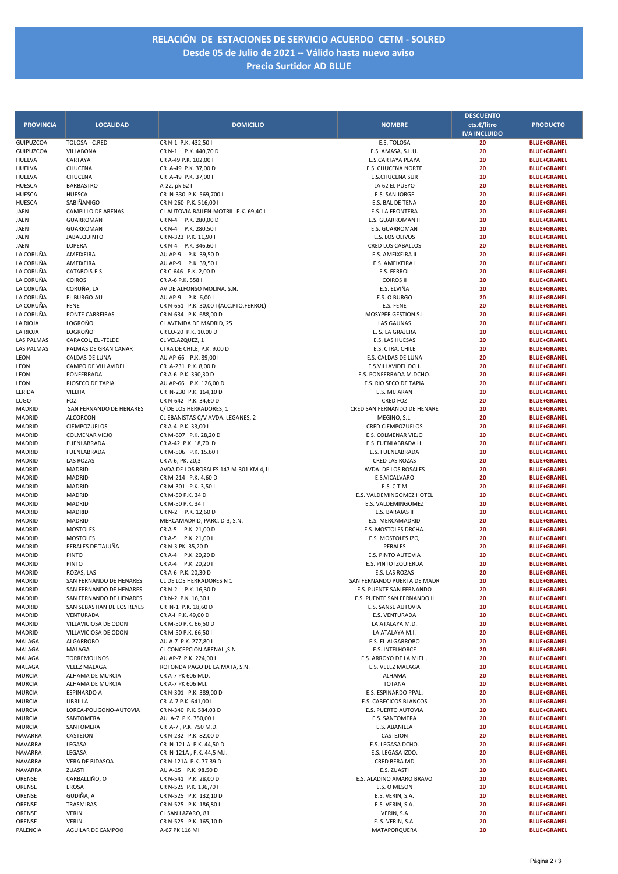## **RELACIÓN DE ESTACIONES DE SERVICIO ACUERDO CETM ‐ SOLRED Desde 05 de Julio de 2021 ‐‐ Válido hasta nuevo aviso Precio Surtidor AD BLUE**

|                         |                                         |                                                     |                                          | <b>DESCUENTO</b>    |                                          |
|-------------------------|-----------------------------------------|-----------------------------------------------------|------------------------------------------|---------------------|------------------------------------------|
| <b>PROVINCIA</b>        | <b>LOCALIDAD</b>                        | <b>DOMICILIO</b>                                    | <b>NOMBRE</b>                            | cts.€/litro         | <b>PRODUCTO</b>                          |
|                         |                                         |                                                     |                                          | <b>IVA INCLUIDO</b> |                                          |
| GUIPUZCOA               | TOLOSA - C.RED                          | CR N-1 P.K. 432,50 I                                | E.S. TOLOSA                              | 20                  | <b>BLUE+GRANEL</b>                       |
| <b>GUIPUZCOA</b>        | VILLABONA                               | CR N-1 P.K. 440,70 D                                | E.S. AMASA, S.L.U.                       | 20                  | <b>BLUE+GRANEL</b>                       |
| HUELVA                  | CARTAYA                                 | CR A-49 P.K. 102,00 I                               | E.S.CARTAYA PLAYA                        | 20                  | <b>BLUE+GRANEL</b>                       |
| HUELVA                  | CHUCENA<br>CHUCENA                      | CR A-49 P.K. 37,00 D                                | <b>E.S. CHUCENA NORTE</b>                | 20<br>20            | <b>BLUE+GRANEL</b>                       |
| HUELVA<br><b>HUESCA</b> | <b>BARBASTRO</b>                        | CR A-49 P.K. 37,00 I<br>A-22, pk 62 l               | <b>E.S.CHUCENA SUR</b><br>LA 62 EL PUEYO | 20                  | <b>BLUE+GRANEL</b><br><b>BLUE+GRANEL</b> |
| <b>HUESCA</b>           | <b>HUESCA</b>                           | CR N-330 P.K. 569,700 I                             | E.S. SAN JORGE                           | 20                  | <b>BLUE+GRANEL</b>                       |
| <b>HUESCA</b>           | SABIÑANIGO                              | CR N-260 P.K. 516,00 I                              | E.S. BAL DE TENA                         | 20                  | <b>BLUE+GRANEL</b>                       |
| JAEN                    | CAMPILLO DE ARENAS                      | CL AUTOVIA BAILEN-MOTRIL P.K. 69,40 I               | E.S. LA FRONTERA                         | 20                  | <b>BLUE+GRANEL</b>                       |
| JAEN                    | <b>GUARROMAN</b>                        | CR N-4 P.K. 280,00 D                                | E.S. GUARROMAN II                        | 20                  | <b>BLUE+GRANEL</b>                       |
| JAEN                    | <b>GUARROMAN</b>                        | CR N-4 P.K. 280,501                                 | E.S. GUARROMAN                           | 20                  | <b>BLUE+GRANEL</b>                       |
| JAEN                    | <b>JABALQUINTO</b>                      | CR N-323 P.K. 11,90 I                               | E.S. LOS OLIVOS                          | 20                  | <b>BLUE+GRANEL</b>                       |
| JAEN                    | LOPERA                                  | CR N-4 P.K. 346,60 I                                | <b>CRED LOS CABALLOS</b>                 | 20                  | <b>BLUE+GRANEL</b>                       |
| LA CORUÑA               | AMEIXEIRA                               | AU AP-9 P.K. 39,50 D                                | E.S. AMEIXEIRA II                        | 20                  | <b>BLUE+GRANEL</b>                       |
| LA CORUÑA               | AMEIXEIRA                               | AU AP-9 P.K. 39,501                                 | E.S. AMEIXEIRA I                         | 20                  | <b>BLUE+GRANEL</b>                       |
| LA CORUÑA               | CATABOIS-E.S.                           | CR C-646 P.K. 2,00 D                                | E.S. FERROL                              | 20                  | <b>BLUE+GRANEL</b>                       |
| LA CORUÑA               | <b>COIROS</b>                           | CR A-6 P.K. 558 I                                   | <b>COIROS II</b>                         | 20                  | <b>BLUE+GRANEL</b>                       |
| LA CORUÑA               | CORUÑA, LA                              | AV DE ALFONSO MOLINA, S.N.                          | E.S. ELVIÑA                              | 20                  | <b>BLUE+GRANEL</b>                       |
| LA CORUÑA               | EL BURGO-AU                             | AU AP-9 P.K. 6,00 I                                 | E.S. O BURGO                             | 20                  | <b>BLUE+GRANEL</b>                       |
| LA CORUÑA               | <b>FENE</b>                             | CR N-651 P.K. 30,00 I (ACC.PTO.FERROL)              | E.S. FENE                                | 20                  | <b>BLUE+GRANEL</b>                       |
| LA CORUÑA               | PONTE CARREIRAS                         | CR N-634 P.K. 688,00 D                              | MOSYPER GESTION S.L                      | 20                  | <b>BLUE+GRANEL</b>                       |
| LA RIOJA<br>LA RIOJA    | LOGROÑO<br>LOGROÑO                      | CL AVENIDA DE MADRID, 25<br>CR LO-20 P.K. 10,00 D   | <b>LAS GAUNAS</b><br>E. S. LA GRAJERA    | 20<br>20            | <b>BLUE+GRANEL</b><br><b>BLUE+GRANEL</b> |
| LAS PALMAS              | CARACOL, EL -TELDE                      | CL VELAZQUEZ, 1                                     | E.S. LAS HUESAS                          | 20                  | <b>BLUE+GRANEL</b>                       |
| <b>LAS PALMAS</b>       | PALMAS DE GRAN CANAR                    | CTRA DE CHILE, P.K. 9,00 D                          | E.S. CTRA. CHILE                         | 20                  | <b>BLUE+GRANEL</b>                       |
| LEON                    | CALDAS DE LUNA                          | AU AP-66 P.K. 89,00 I                               | E.S. CALDAS DE LUNA                      | 20                  | <b>BLUE+GRANEL</b>                       |
| LEON                    | CAMPO DE VILLAVIDEL                     | CR A-231 P.K. 8,00 D                                | E.S.VILLAVIDEL DCH.                      | 20                  | <b>BLUE+GRANEL</b>                       |
| LEON                    | PONFERRADA                              | CR A-6 P.K. 390,30 D                                | E.S. PONFERRADA M.DCHO.                  | 20                  | <b>BLUE+GRANEL</b>                       |
| LEON                    | RIOSECO DE TAPIA                        | AU AP-66 P.K. 126,00 D                              | E.S. RIO SECO DE TAPIA                   | 20                  | <b>BLUE+GRANEL</b>                       |
| LERIDA                  | VIELHA                                  | CR N-230 P.K. 164,10 D                              | E.S. MIJ ARAN                            | 20                  | <b>BLUE+GRANEL</b>                       |
| LUGO                    | FOZ                                     | CR N-642 P.K. 34,60 D                               | <b>CRED FOZ</b>                          | 20                  | <b>BLUE+GRANEL</b>                       |
| MADRID                  | SAN FERNANDO DE HENARES                 | C/DE LOS HERRADORES. 1                              | CRED SAN FERNANDO DE HENARE              | 20                  | <b>BLUE+GRANEL</b>                       |
| MADRID                  | <b>ALCORCON</b>                         | CL EBANISTAS C/V AVDA. LEGANES, 2                   | MEGINO, S.L.                             | 20                  | <b>BLUE+GRANEL</b>                       |
| MADRID                  | CIEMPOZUELOS                            | CR A-4 P.K. 33,00 I                                 | <b>CRED CIEMPOZUELOS</b>                 | 20                  | <b>BLUE+GRANEL</b>                       |
| MADRID                  | <b>COLMENAR VIEJO</b>                   | CR M-607 P.K. 28,20 D                               | E.S. COLMENAR VIEJO                      | 20                  | <b>BLUE+GRANEL</b>                       |
| MADRID                  | FUENLABRADA                             | CR A-42 P.K. 18,70 D                                | E.S. FUENLABRADA H.                      | 20                  | <b>BLUE+GRANEL</b>                       |
| MADRID                  | FUENLABRADA                             | CR M-506 P.K. 15.60 I                               | E.S. FUENLABRADA                         | 20                  | <b>BLUE+GRANEL</b>                       |
| MADRID                  | <b>LAS ROZAS</b>                        | CR A-6, PK. 20,3                                    | <b>CRED LAS ROZAS</b>                    | 20                  | <b>BLUE+GRANEL</b>                       |
| MADRID                  | <b>MADRID</b>                           | AVDA DE LOS ROSALES 147 M-301 KM 4,11               | AVDA. DE LOS ROSALES                     | 20                  | <b>BLUE+GRANEL</b>                       |
| MADRID                  | <b>MADRID</b>                           | CR M-214 P.K. 4,60 D                                | E.S.VICALVARO                            | 20                  | <b>BLUE+GRANEL</b>                       |
| MADRID                  | MADRID                                  | CR M-301 P.K. 3,501                                 | E.S. C T M                               | 20                  | <b>BLUE+GRANEL</b>                       |
| MADRID                  | <b>MADRID</b>                           | CR M-50 P.K. 34 D                                   | E.S. VALDEMINGOMEZ HOTEL                 | 20                  | <b>BLUE+GRANEL</b>                       |
| MADRID                  | <b>MADRID</b>                           | CR M-50 P.K. 34 I                                   | E.S. VALDEMINGOMEZ                       | 20                  | <b>BLUE+GRANEL</b>                       |
| MADRID<br>MADRID        | <b>MADRID</b><br><b>MADRID</b>          | CR N-2 P.K. 12,60 D<br>MERCAMADRID, PARC. D-3, S.N. | E.S. BARAJAS II<br>E.S. MERCAMADRID      | 20<br>20            | <b>BLUE+GRANEL</b><br><b>BLUE+GRANEL</b> |
| MADRID                  | <b>MOSTOLES</b>                         | CR A-5 P.K. 21,00 D                                 | E.S. MOSTOLES DRCHA.                     | 20                  | <b>BLUE+GRANEL</b>                       |
| MADRID                  | <b>MOSTOLES</b>                         | CR A-5 P.K. 21,00 I                                 | E.S. MOSTOLES IZQ.                       | 20                  | <b>BLUE+GRANEL</b>                       |
| MADRID                  | PERALES DE TAJUÑA                       | CR N-3 PK. 35,20 D                                  | PERALES                                  | 20                  | <b>BLUE+GRANEL</b>                       |
| MADRID                  | PINTO                                   | CR A-4 P.K. 20,20 D                                 | E.S. PINTO AUTOVIA                       | 20                  | <b>BLUE+GRANEL</b>                       |
| MADRID                  | PINTO                                   | CR A-4 P.K. 20,201                                  | E.S. PINTO IZQUIERDA                     | 20                  | <b>BLUE+GRANEL</b>                       |
| MADRID                  | ROZAS, LAS                              | CR A-6 P.K. 20,30 D                                 | E.S. LAS ROZAS                           | 20                  | <b>BLUE+GRANEL</b>                       |
| MADRID                  | SAN FERNANDO DE HENARES                 | CL DE LOS HERRADORES N 1                            | SAN FERNANDO PUERTA DE MADR              | 20                  | <b>BLUE+GRANEL</b>                       |
| MADRID                  | SAN FERNANDO DE HENARES                 | CR N-2 P.K. 16,30 D                                 | E.S. PUENTE SAN FERNANDO                 | 20                  | <b>BLUE+GRANEL</b>                       |
| MADRID                  | SAN FERNANDO DE HENARES                 | CR N-2 P.K. 16,30 I                                 | E.S. PUENTE SAN FERNANDO II              | 20                  | <b>BLUE+GRANEL</b>                       |
| MADRID                  | SAN SEBASTIAN DE LOS REYES              | CR N-1 P.K. 18,60 D                                 | E.S. SANSE AUTOVIA                       | 20                  | <b>BLUE+GRANEL</b>                       |
| MADRID                  | VENTURADA                               | CR A-I P.K. 49,00 D                                 | E.S. VENTURADA                           | 20                  | <b>BLUE+GRANEL</b>                       |
| MADRID                  | VILLAVICIOSA DE ODON                    | CR M-50 P.K. 66,50 D                                | LA ATALAYA M.D.                          | 20                  | <b>BLUE+GRANEL</b>                       |
| MADRID                  | VILLAVICIOSA DE ODON                    | CR M-50 P.K. 66,50 I                                | LA ATALAYA M.I.                          | 20                  | <b>BLUE+GRANEL</b>                       |
| MALAGA                  | <b>ALGARROBO</b>                        | AU A-7 P.K. 277,80 I                                | E.S. EL ALGARROBO                        | 20                  | <b>BLUE+GRANEL</b>                       |
| MALAGA                  | MALAGA                                  | CL CONCEPCION ARENAL , S.N                          | <b>E.S. INTELHORCE</b>                   | 20                  | <b>BLUE+GRANEL</b>                       |
| MALAGA                  | TORREMOLINOS                            | AU AP-7 P.K. 224,00 I                               | E.S. ARROYO DE LA MIEL.                  | 20                  | <b>BLUE+GRANEL</b>                       |
| MALAGA                  | <b>VELEZ MALAGA</b><br>ALHAMA DE MURCIA | ROTONDA PAGO DE LA MATA, S.N.                       | E.S. VELEZ MALAGA<br><b>ALHAMA</b>       | 20                  | <b>BLUE+GRANEL</b>                       |
| MURCIA                  |                                         | CR A-7 PK 606 M.D.                                  |                                          | 20                  | <b>BLUE+GRANEL</b>                       |
| MURCIA<br>MURCIA        | ALHAMA DE MURCIA<br><b>ESPINARDO A</b>  | CR A-7 PK 606 M.I.<br>CR N-301 P.K. 389,00 D        | <b>TOTANA</b><br>E.S. ESPINARDO PPAL.    | 20<br>20            | <b>BLUE+GRANEL</b><br><b>BLUE+GRANEL</b> |
| MURCIA                  | LIBRILLA                                | CR A-7 P.K. 641,00 I                                | E.S. CABECICOS BLANCOS                   | 20                  | <b>BLUE+GRANEL</b>                       |
| <b>MURCIA</b>           | LORCA-POLIGONO-AUTOVIA                  | CR N-340 P.K. 584.03 D                              | E.S. PUERTO AUTOVIA                      | 20                  | <b>BLUE+GRANEL</b>                       |
| MURCIA                  | SANTOMERA                               | AU A-7 P.K. 750,00 I                                | E.S. SANTOMERA                           | 20                  | <b>BLUE+GRANEL</b>                       |
| MURCIA                  | SANTOMERA                               | CR A-7, P.K. 750 M.D.                               | E.S. ABANILLA                            | 20                  | <b>BLUE+GRANEL</b>                       |
| NAVARRA                 | CASTEJON                                | CR N-232 P.K. 82,00 D                               | CASTEJON                                 | 20                  | <b>BLUE+GRANEL</b>                       |
| NAVARRA                 | LEGASA                                  | CR N-121 A P.K. 44,50 D                             | E.S. LEGASA DCHO.                        | 20                  | <b>BLUE+GRANEL</b>                       |
| NAVARRA                 | LEGASA                                  | CR N-121A, P.K. 44,5 M.I.                           | E.S. LEGASA IZDO.                        | 20                  | <b>BLUE+GRANEL</b>                       |
| <b>NAVARRA</b>          | VERA DE BIDASOA                         | CR N-121A P.K. 77.39 D                              | CRED BERA MD                             | 20                  | <b>BLUE+GRANEL</b>                       |
| NAVARRA                 | ZUASTI                                  | AU A-15 P.K. 98.50 D                                | E.S. ZUASTI                              | 20                  | <b>BLUE+GRANEL</b>                       |
| ORENSE                  | CARBALLIÑO, O                           | CR N-541 P.K. 28,00 D                               | E.S. ALADINO AMARO BRAVO                 | 20                  | <b>BLUE+GRANEL</b>                       |
| ORENSE                  | <b>EROSA</b>                            | CR N-525 P.K. 136,70 I                              | E.S. O MESON                             | 20                  | <b>BLUE+GRANEL</b>                       |
| ORENSE                  | GUDIÑA, A                               | CR N-525 P.K. 132,10 D                              | E.S. VERIN, S.A.                         | 20                  | <b>BLUE+GRANEL</b>                       |
| ORENSE                  | TRASMIRAS                               | CR N-525 P.K. 186,80 I                              | E.S. VERIN, S.A.                         | 20                  | <b>BLUE+GRANEL</b>                       |
| ORENSE                  | <b>VERIN</b>                            | CL SAN LAZARO, 81                                   | VERIN, S.A                               | 20                  | <b>BLUE+GRANEL</b>                       |
| ORENSE                  | <b>VERIN</b>                            | CR N-525 P.K. 165,10 D                              | E. S. VERIN, S.A.                        | 20                  | <b>BLUE+GRANEL</b>                       |
| PALENCIA                | AGUILAR DE CAMPOO                       | A-67 PK 116 MI                                      | MATAPORQUERA                             | 20                  | <b>BLUE+GRANEL</b>                       |